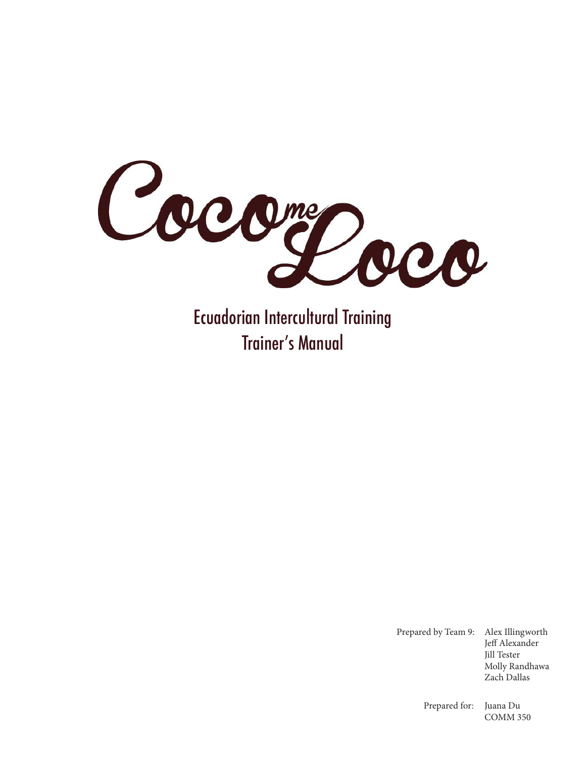

Ecuadorian Intercultural Training Trainer's Manual

> Prepared by Team 9: Alex Illingworth Jeff Alexander Jill Tester Molly Randhawa Zach Dallas

> > Prepared for: Juana Du COMM 350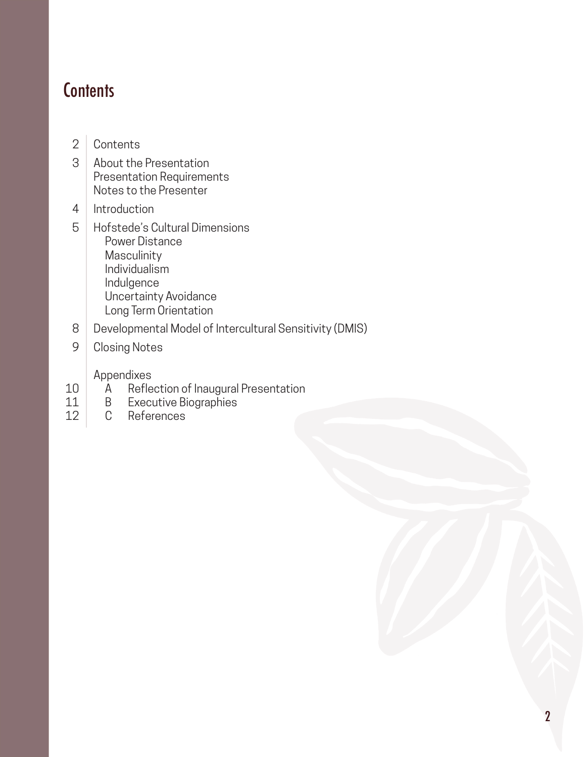### **Contents**

- **Contents** 2
- About the Presentation Presentation Requirements Notes to the Presenter 3
- Introduction 4
- Hofstede's Cultural Dimensions Power Distance Masculinity Individualism Indulgence Uncertainty Avoidance Long Term Orientation 5
- Developmental Model of Intercultural Sensitivity (DMIS) 8
- Closing Notes 9

Appendixes

- A Reflection of Inaugural Presentation<br>B Executive Biographies 10
- Executive Biographies 11
- C References 12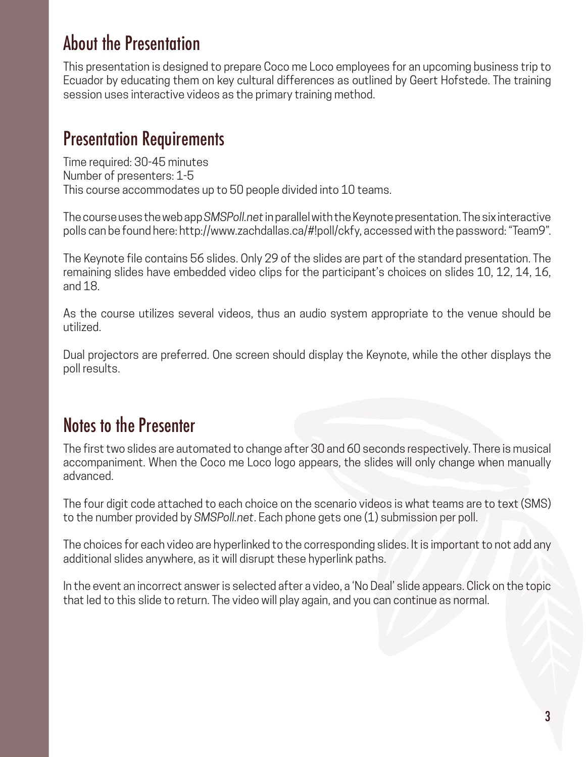### About the Presentation

This presentation is designed to prepare Coco me Loco employees for an upcoming business trip to Ecuador by educating them on key cultural differences as outlined by Geert Hofstede. The training session uses interactive videos as the primary training method.

### Presentation Requirements

Time required: 30-45 minutes Number of presenters: 1-5 This course accommodates up to 50 people divided into 10 teams.

The course uses the web app *SMSPoll.net* in parallel with the Keynote presentation. The six interactive polls can be found here: http://www.zachdallas.ca/#!poll/ckfy, accessed with the password: "Team9".

The Keynote file contains 56 slides. Only 29 of the slides are part of the standard presentation. The remaining slides have embedded video clips for the participant's choices on slides 10, 12, 14, 16, and 18.

As the course utilizes several videos, thus an audio system appropriate to the venue should be utilized.

Dual projectors are preferred. One screen should display the Keynote, while the other displays the poll results.

### Notes to the Presenter

The first two slides are automated to change after 30 and 60 seconds respectively. There is musical accompaniment. When the Coco me Loco logo appears, the slides will only change when manually advanced.

The four digit code attached to each choice on the scenario videos is what teams are to text (SMS) to the number provided by *SMSPoll.net*. Each phone gets one (1) submission per poll.

The choices for each video are hyperlinked to the corresponding slides. It is important to not add any additional slides anywhere, as it will disrupt these hyperlink paths.

In the event an incorrect answer is selected after a video, a 'No Deal' slide appears. Click on the topic that led to this slide to return. The video will play again, and you can continue as normal.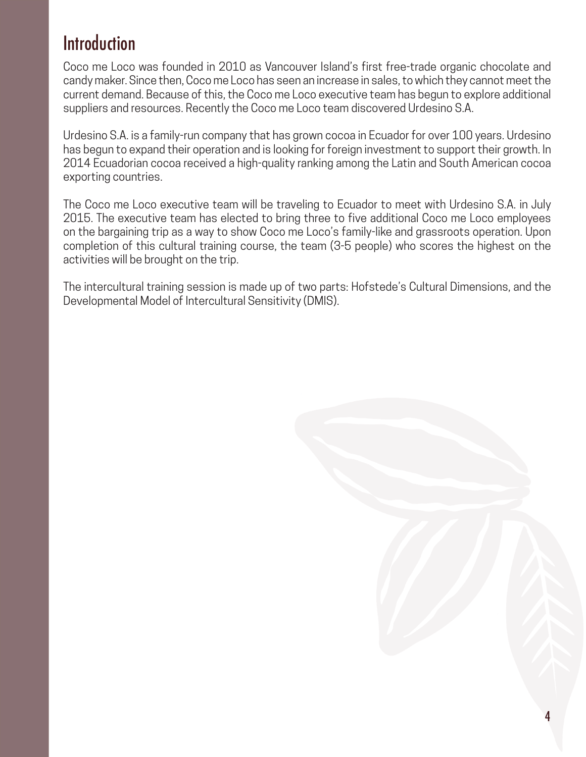### Introduction

Coco me Loco was founded in 2010 as Vancouver Island's first free-trade organic chocolate and candy maker. Since then, Coco me Loco has seen an increase in sales, to which they cannot meet the current demand. Because of this, the Coco me Loco executive team has begun to explore additional suppliers and resources. Recently the Coco me Loco team discovered Urdesino S.A.

Urdesino S.A. is a family-run company that has grown cocoa in Ecuador for over 100 years. Urdesino has begun to expand their operation and is looking for foreign investment to support their growth. In 2014 Ecuadorian cocoa received a high-quality ranking among the Latin and South American cocoa exporting countries.

The Coco me Loco executive team will be traveling to Ecuador to meet with Urdesino S.A. in July 2015. The executive team has elected to bring three to five additional Coco me Loco employees on the bargaining trip as a way to show Coco me Loco's family-like and grassroots operation. Upon completion of this cultural training course, the team (3-5 people) who scores the highest on the activities will be brought on the trip.

The intercultural training session is made up of two parts: Hofstede's Cultural Dimensions, and the Developmental Model of Intercultural Sensitivity (DMIS).

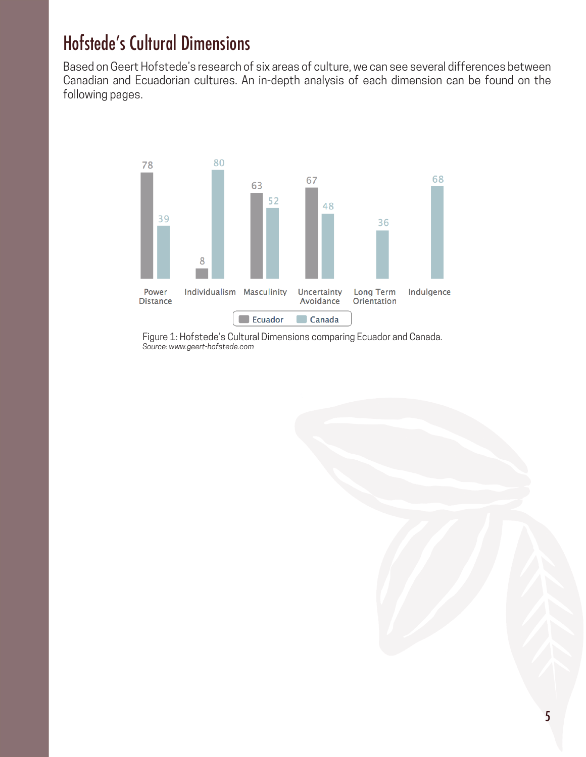## Hofstede's Cultural Dimensions

Based on Geert Hofstede's research of six areas of culture, we can see several differences between Canadian and Ecuadorian cultures. An in-depth analysis of each dimension can be found on the following pages.



Figure 1: Hofstede's Cultural Dimensions comparing Ecuador and Canada. *Source: www.geert-hofstede.com*

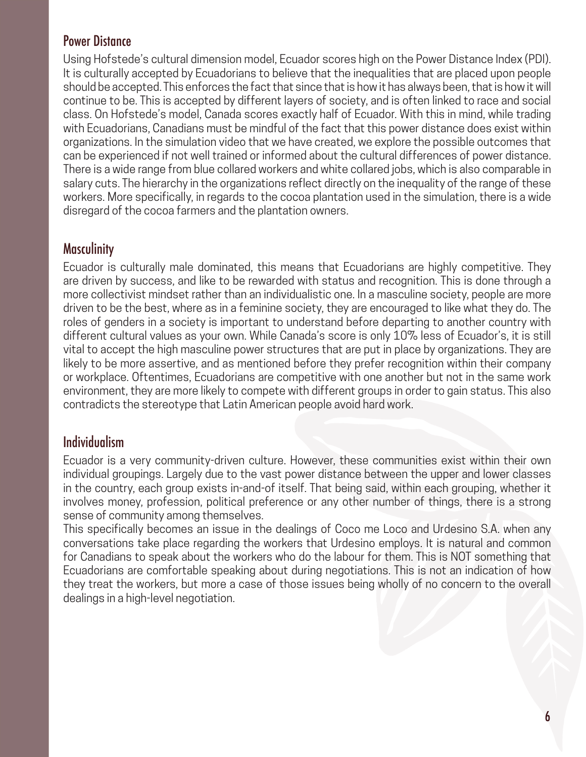#### Power Distance

Using Hofstede's cultural dimension model, Ecuador scores high on the Power Distance Index (PDI). It is culturally accepted by Ecuadorians to believe that the inequalities that are placed upon people should be accepted. This enforces the fact that since that is how it has always been, that is how it will continue to be. This is accepted by different layers of society, and is often linked to race and social class. On Hofstede's model, Canada scores exactly half of Ecuador. With this in mind, while trading with Ecuadorians, Canadians must be mindful of the fact that this power distance does exist within organizations. In the simulation video that we have created, we explore the possible outcomes that can be experienced if not well trained or informed about the cultural differences of power distance. There is a wide range from blue collared workers and white collared jobs, which is also comparable in salary cuts. The hierarchy in the organizations reflect directly on the inequality of the range of these workers. More specifically, in regards to the cocoa plantation used in the simulation, there is a wide disregard of the cocoa farmers and the plantation owners.

#### **Masculinity**

Ecuador is culturally male dominated, this means that Ecuadorians are highly competitive. They are driven by success, and like to be rewarded with status and recognition. This is done through a more collectivist mindset rather than an individualistic one. In a masculine society, people are more driven to be the best, where as in a feminine society, they are encouraged to like what they do. The roles of genders in a society is important to understand before departing to another country with different cultural values as your own. While Canada's score is only 10% less of Ecuador's, it is still vital to accept the high masculine power structures that are put in place by organizations. They are likely to be more assertive, and as mentioned before they prefer recognition within their company or workplace. Oftentimes, Ecuadorians are competitive with one another but not in the same work environment, they are more likely to compete with different groups in order to gain status. This also contradicts the stereotype that Latin American people avoid hard work.

#### Individualism

Ecuador is a very community-driven culture. However, these communities exist within their own individual groupings. Largely due to the vast power distance between the upper and lower classes in the country, each group exists in-and-of itself. That being said, within each grouping, whether it involves money, profession, political preference or any other number of things, there is a strong sense of community among themselves.

This specifically becomes an issue in the dealings of Coco me Loco and Urdesino S.A. when any conversations take place regarding the workers that Urdesino employs. It is natural and common for Canadians to speak about the workers who do the labour for them. This is NOT something that Ecuadorians are comfortable speaking about during negotiations. This is not an indication of how they treat the workers, but more a case of those issues being wholly of no concern to the overall dealings in a high-level negotiation.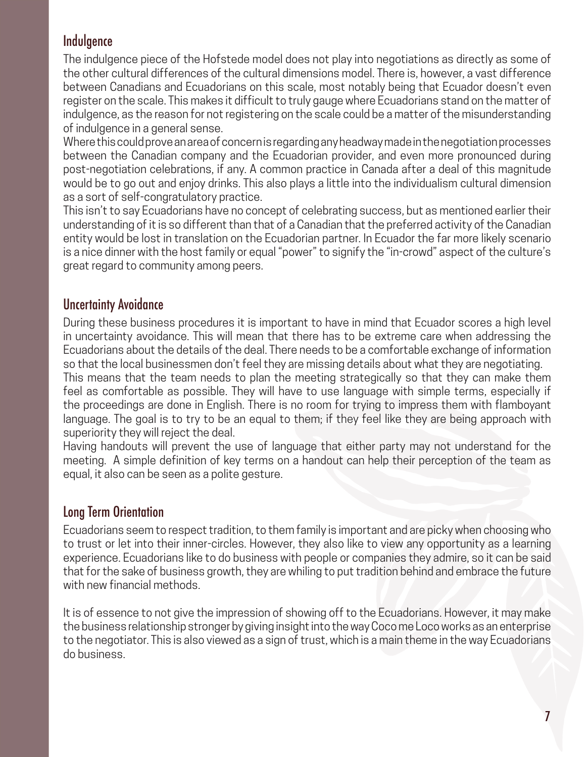#### Indulgence

The indulgence piece of the Hofstede model does not play into negotiations as directly as some of the other cultural differences of the cultural dimensions model. There is, however, a vast difference between Canadians and Ecuadorians on this scale, most notably being that Ecuador doesn't even register on the scale. This makes it difficult to truly gauge where Ecuadorians stand on the matter of indulgence, as the reason for not registering on the scale could be a matter of the misunderstanding of indulgence in a general sense.

Where this could prove an area of concern is regarding any headway made in the negotiation processes between the Canadian company and the Ecuadorian provider, and even more pronounced during post-negotiation celebrations, if any. A common practice in Canada after a deal of this magnitude would be to go out and enjoy drinks. This also plays a little into the individualism cultural dimension as a sort of self-congratulatory practice.

This isn't to say Ecuadorians have no concept of celebrating success, but as mentioned earlier their understanding of it is so different than that of a Canadian that the preferred activity of the Canadian entity would be lost in translation on the Ecuadorian partner. In Ecuador the far more likely scenario is a nice dinner with the host family or equal "power" to signify the "in-crowd" aspect of the culture's great regard to community among peers.

#### Uncertainty Avoidance

During these business procedures it is important to have in mind that Ecuador scores a high level in uncertainty avoidance. This will mean that there has to be extreme care when addressing the Ecuadorians about the details of the deal. There needs to be a comfortable exchange of information so that the local businessmen don't feel they are missing details about what they are negotiating. This means that the team needs to plan the meeting strategically so that they can make them feel as comfortable as possible. They will have to use language with simple terms, especially if the proceedings are done in English. There is no room for trying to impress them with flamboyant language. The goal is to try to be an equal to them; if they feel like they are being approach with superiority they will reject the deal.

Having handouts will prevent the use of language that either party may not understand for the meeting. A simple definition of key terms on a handout can help their perception of the team as equal, it also can be seen as a polite gesture.

#### Long Term Orientation

Ecuadorians seem to respect tradition, to them family is important and are picky when choosing who to trust or let into their inner-circles. However, they also like to view any opportunity as a learning experience. Ecuadorians like to do business with people or companies they admire, so it can be said that for the sake of business growth, they are whiling to put tradition behind and embrace the future with new financial methods.

It is of essence to not give the impression of showing off to the Ecuadorians. However, it may make the business relationship stronger by giving insight into the way Coco me Loco works as an enterprise to the negotiator. This is also viewed as a sign of trust, which is a main theme in the way Ecuadorians do business.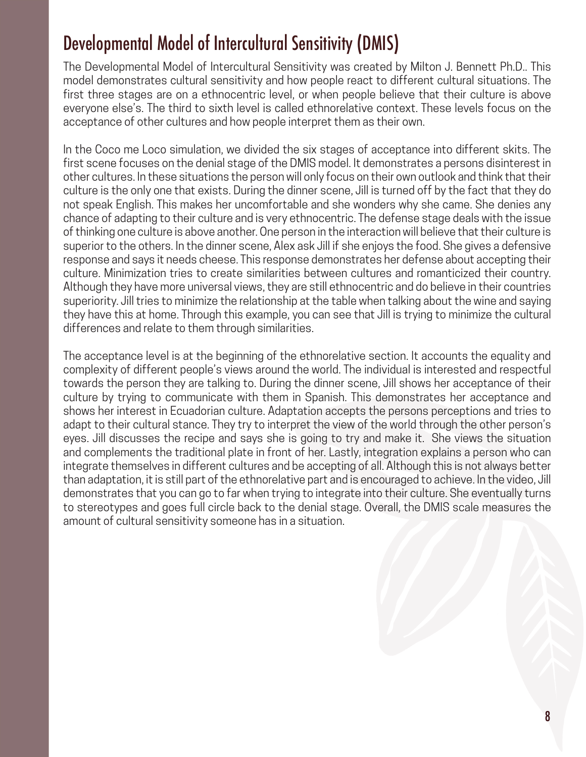## Developmental Model of Intercultural Sensitivity (DMIS)

The Developmental Model of Intercultural Sensitivity was created by Milton J. Bennett Ph.D.. This model demonstrates cultural sensitivity and how people react to different cultural situations. The first three stages are on a ethnocentric level, or when people believe that their culture is above everyone else's. The third to sixth level is called ethnorelative context. These levels focus on the acceptance of other cultures and how people interpret them as their own.

In the Coco me Loco simulation, we divided the six stages of acceptance into different skits. The first scene focuses on the denial stage of the DMIS model. It demonstrates a persons disinterest in other cultures. In these situations the person will only focus on their own outlook and think that their culture is the only one that exists. During the dinner scene, Jill is turned off by the fact that they do not speak English. This makes her uncomfortable and she wonders why she came. She denies any chance of adapting to their culture and is very ethnocentric. The defense stage deals with the issue of thinking one culture is above another. One person in the interaction will believe that their culture is superior to the others. In the dinner scene, Alex ask Jill if she enjoys the food. She gives a defensive response and says it needs cheese. This response demonstrates her defense about accepting their culture. Minimization tries to create similarities between cultures and romanticized their country. Although they have more universal views, they are still ethnocentric and do believe in their countries superiority. Jill tries to minimize the relationship at the table when talking about the wine and saying they have this at home. Through this example, you can see that Jill is trying to minimize the cultural differences and relate to them through similarities.

The acceptance level is at the beginning of the ethnorelative section. It accounts the equality and complexity of different people's views around the world. The individual is interested and respectful towards the person they are talking to. During the dinner scene, Jill shows her acceptance of their culture by trying to communicate with them in Spanish. This demonstrates her acceptance and shows her interest in Ecuadorian culture. Adaptation accepts the persons perceptions and tries to adapt to their cultural stance. They try to interpret the view of the world through the other person's eyes. Jill discusses the recipe and says she is going to try and make it. She views the situation and complements the traditional plate in front of her. Lastly, integration explains a person who can integrate themselves in different cultures and be accepting of all. Although this is not always better than adaptation, it is still part of the ethnorelative part and is encouraged to achieve. In the video, Jill demonstrates that you can go to far when trying to integrate into their culture. She eventually turns to stereotypes and goes full circle back to the denial stage. Overall, the DMIS scale measures the amount of cultural sensitivity someone has in a situation.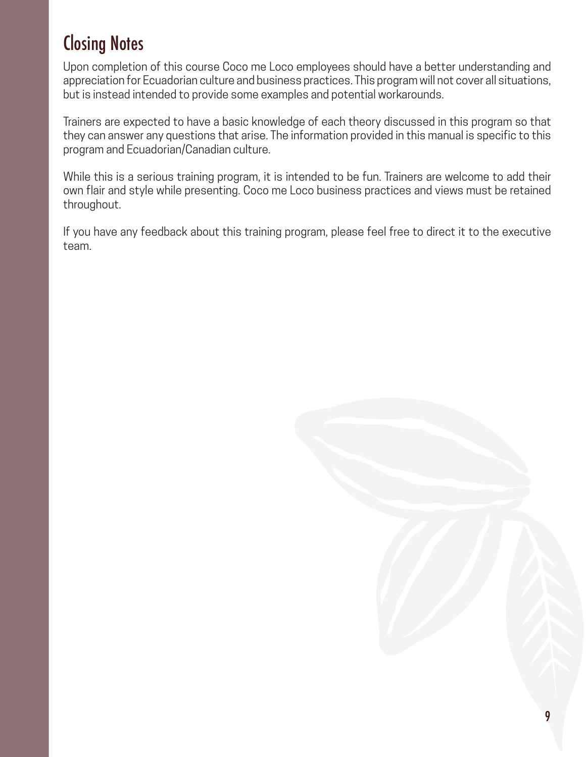## Closing Notes

Upon completion of this course Coco me Loco employees should have a better understanding and appreciation for Ecuadorian culture and business practices. This program will not cover all situations, but is instead intended to provide some examples and potential workarounds.

Trainers are expected to have a basic knowledge of each theory discussed in this program so that they can answer any questions that arise. The information provided in this manual is specific to this program and Ecuadorian/Canadian culture.

While this is a serious training program, it is intended to be fun. Trainers are welcome to add their own flair and style while presenting. Coco me Loco business practices and views must be retained throughout.

If you have any feedback about this training program, please feel free to direct it to the executive team.

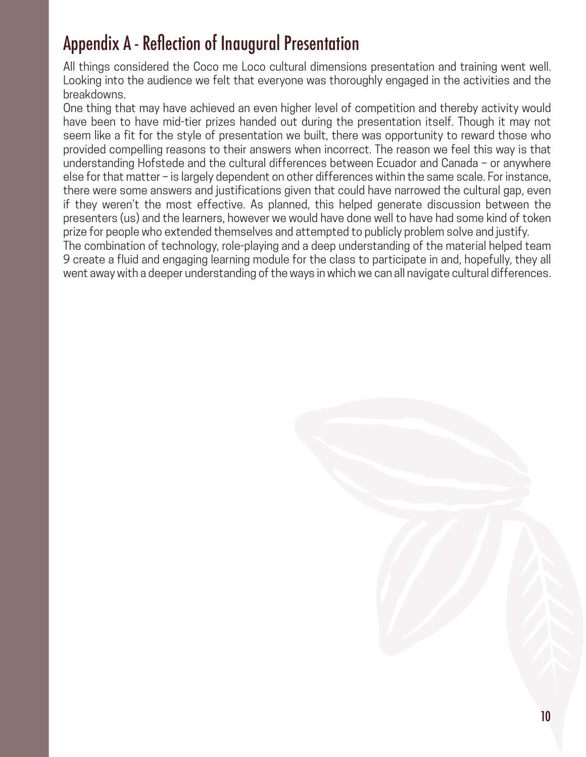## Appendix A - Reflection of Inaugural Presentation

All things considered the Coco me Loco cultural dimensions presentation and training went well. Looking into the audience we felt that everyone was thoroughly engaged in the activities and the breakdowns.

One thing that may have achieved an even higher level of competition and thereby activity would have been to have mid-tier prizes handed out during the presentation itself. Though it may not seem like a fit for the style of presentation we built, there was opportunity to reward those who provided compelling reasons to their answers when incorrect. The reason we feel this way is that understanding Hofstede and the cultural differences between Ecuador and Canada – or anywhere else for that matter – is largely dependent on other differences within the same scale. For instance, there were some answers and justifications given that could have narrowed the cultural gap, even if they weren't the most effective. As planned, this helped generate discussion between the presenters (us) and the learners, however we would have done well to have had some kind of token prize for people who extended themselves and attempted to publicly problem solve and justify. The combination of technology, role-playing and a deep understanding of the material helped team

9 create a fluid and engaging learning module for the class to participate in and, hopefully, they all went away with a deeper understanding of the ways in which we can all navigate cultural differences.

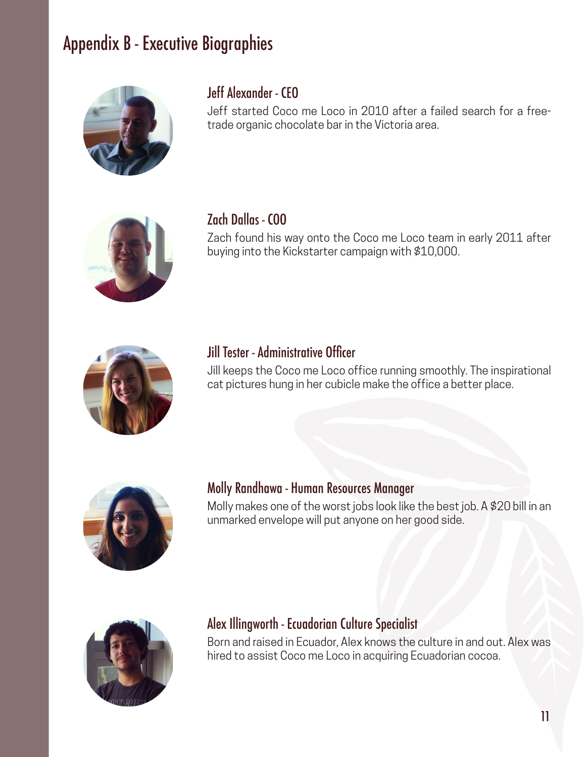## Appendix B - Executive Biographies



### Jeff Alexander - CEO

Jeff started Coco me Loco in 2010 after a failed search for a freetrade organic chocolate bar in the Victoria area.



#### Zach Dallas - COO

Zach found his way onto the Coco me Loco team in early 2011 after buying into the Kickstarter campaign with \$10,000.



#### Jill Tester - Administrative Officer

Jill keeps the Coco me Loco office running smoothly. The inspirational cat pictures hung in her cubicle make the office a better place.



#### Molly Randhawa - Human Resources Manager

Molly makes one of the worst jobs look like the best job. A \$20 bill in an unmarked envelope will put anyone on her good side.



#### Alex Illingworth - Ecuadorian Culture Specialist

Born and raised in Ecuador, Alex knows the culture in and out. Alex was hired to assist Coco me Loco in acquiring Ecuadorian cocoa.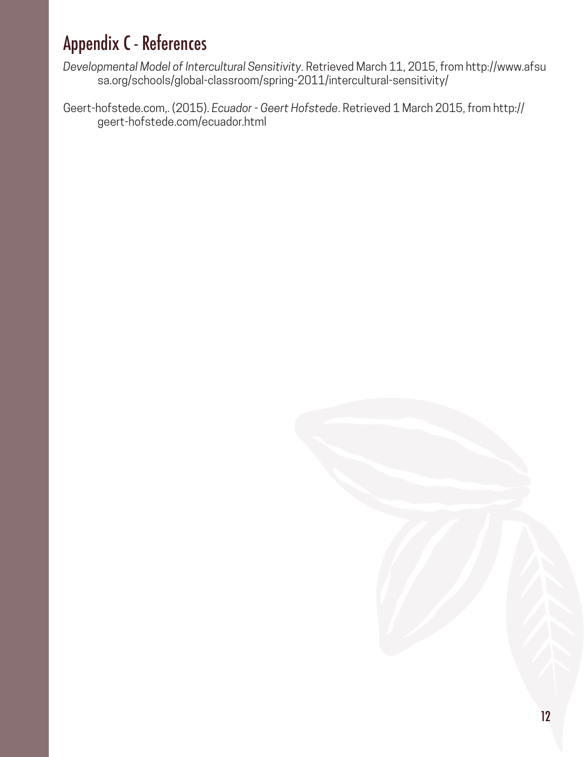# Appendix C - References

*Developmental Model of Intercultural Sensitivity*. Retrieved March 11, 2015, from http://www.afsu sa.org/schools/global-classroom/spring-2011/intercultural-sensitivity/

Geert-hofstede.com,. (2015). *Ecuador - Geert Hofstede*. Retrieved 1 March 2015, from http:// geert-hofstede.com/ecuador.html